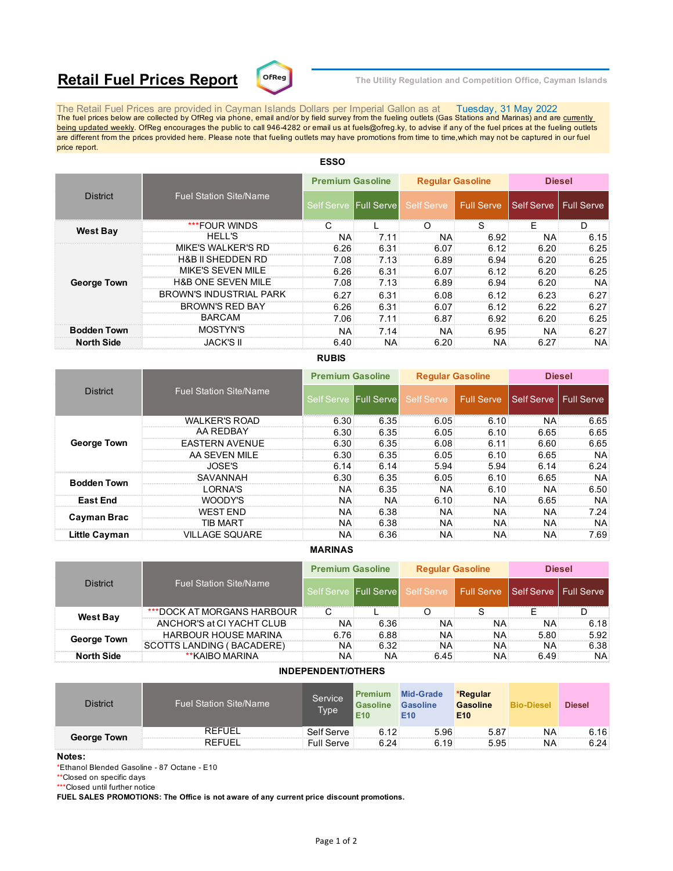# **Retail Fuel Prices Report**  $\text{C}^{\text{DFReg}}$  The Utility Regulation and Competition Office, Cayman Islands



The Retail Fuel Prices are provided in Cayman Islands Dollars per Imperial Gallon as at Tuesday, 31 May 2022<br>The fuel prices below are collected by OfReg via phone, email and/or by field survey from the fueling outlets (G being updated weekly. OfReg encourages the public to call 946-4282 or email us at fuels@ofreg.ky, to advise if any of the fuel prices at the fueling outlets are different from the prices provided here. Please note that fueling outlets may have promotions from time to time,which may not be captured in our fuel price report.

|                                |      |                                                                                                                                     |                     | <b>Diesel</b>                                   |                                                                                                        |
|--------------------------------|------|-------------------------------------------------------------------------------------------------------------------------------------|---------------------|-------------------------------------------------|--------------------------------------------------------------------------------------------------------|
| <b>Fuel Station Site/Name</b>  |      | Self Serve                                                                                                                          |                     |                                                 |                                                                                                        |
| ***FOUR WINDS                  |      | ∩                                                                                                                                   | S                   | F                                               | D                                                                                                      |
| <b>HELL'S</b>                  | 7.11 |                                                                                                                                     |                     | <b>NA</b>                                       | 6.15                                                                                                   |
| <b>MIKE'S WALKER'S RD</b>      | 6.31 |                                                                                                                                     |                     | 6.20                                            | 6.25                                                                                                   |
| <b>H&amp;B II SHEDDEN RD</b>   | 7.13 | 6.89                                                                                                                                |                     | 6.20                                            | 6.25                                                                                                   |
| MIKE'S SEVEN MILE              | 6.31 |                                                                                                                                     |                     | 6.20                                            | 6.25                                                                                                   |
| <b>H&amp;B ONE SEVEN MILE</b>  | 7.13 | 6.89                                                                                                                                |                     | 6.20                                            | NA.                                                                                                    |
| <b>BROWN'S INDUSTRIAL PARK</b> | 6.31 | 6.08                                                                                                                                |                     | 6.23                                            | 6.27                                                                                                   |
| <b>BROWN'S RED BAY</b>         | 6.31 | 6.07                                                                                                                                |                     | 6.22                                            | 6.27                                                                                                   |
| <b>BARCAM</b>                  | 7.11 | 6.87                                                                                                                                |                     | 6.20                                            | 6.25                                                                                                   |
| MOSTYN'S                       | 7.14 | <b>NA</b>                                                                                                                           |                     | <b>NA</b>                                       | 6.27                                                                                                   |
| <b>JACK'S II</b>               | NA.  |                                                                                                                                     |                     | 6.27                                            | <b>NA</b>                                                                                              |
|                                |      | <b>Premium Gasoline</b><br>Self Serve Full Serve<br>NA<br>6.26<br>7.08<br>6.26<br>7.08<br>6.27<br>6.26<br>7.06<br><b>NA</b><br>6.40 | NA:<br>6.07<br>6.20 | <b>Regular Gasoline</b><br>l Full Serve<br>6.07 | Self Serve   Full Serve<br>6.92<br>6.12<br>6.94<br>6.12<br>6.94<br>6.12<br>6.12<br>6.92<br>6.95<br>NA: |

# **ESSO**

## **RUBIS**

|                    |                               | <b>Premium Gasoline</b> |                     | <b>Reqular Gasoline</b> |              | <b>Diesel</b>           |           |
|--------------------|-------------------------------|-------------------------|---------------------|-------------------------|--------------|-------------------------|-----------|
| <b>District</b>    | <b>Fuel Station Site/Name</b> | Self Serve              | <b>IFull Servel</b> | Self Serve              | Ⅰ Full Serve | Self Serve   Full Serve |           |
|                    | <b>WALKER'S ROAD</b>          | 6.30                    | 6.35                | 6.05                    | 6.10         | <b>NA</b>               | 6.65      |
|                    | AA REDBAY                     | $6.30^{\circ}$          | 6.35                | 6.05                    | 6.10         | 6.65                    | 6.65      |
| <b>George Town</b> | <b>EASTERN AVENUE</b>         | 6.30                    | 6.35                | 6.08                    | 6.11         | 6.60                    | 6.65      |
|                    | AA SEVEN MILE                 | 6.30                    | 6.35                | 6.05                    | 6.10         | 6.65                    | NA.       |
|                    | JOSE'S                        | 6.14                    | 6.14                | 5.94                    | 5.94         | 6.14                    | 6.24      |
| <b>Bodden Town</b> | SAVANNAH                      | 6.30                    | 6.35                | 6.05                    | 6.10         | 6.65                    | <b>NA</b> |
|                    | I ORNA'S                      | ΝA                      | 6.35                | NA.                     | 6.10         | <b>NA</b>               | 6.50      |
| <b>East End</b>    | WOODY'S                       | <b>NA</b>               | <b>NA</b>           | 6.10                    | NA:          | 6.65                    | NA.       |
| Cayman Brac        | WEST FND                      | <b>NA</b>               | 6.38                | <b>NA</b>               | NA:          | <b>NA</b>               | 7.24      |
|                    | TIB MART                      | <b>NA</b>               | 6.38                | NA:                     | <b>NA</b>    | <b>NA</b>               | NA.       |
| Little Cayman      | <b>VILLAGE SQUARE</b>         | NA                      | 6.36                | NA:                     | NA.          | <b>NA</b>               | 7.69      |

### **MARINAS**

|                                                  |                             | <b>Premium Gasoline</b> |                       | <b>Regular Gasoline</b> |                                                   | <b>Diesel</b> |           |
|--------------------------------------------------|-----------------------------|-------------------------|-----------------------|-------------------------|---------------------------------------------------|---------------|-----------|
| <b>Fuel Station Site/Name</b><br><b>District</b> |                             |                         | Self Serve Full Serve |                         | Self Serve   Full Serve   Self Serve   Full Serve |               |           |
| <b>West Bay</b>                                  | ***DOCK AT MORGANS HARBOUR  |                         |                       |                         |                                                   |               |           |
|                                                  | ANCHOR'S at CI YACHT CLUB   | <b>NA</b>               | 6.36                  | NA.                     | NA:                                               | NA:           | 6.18      |
| <b>George Town</b>                               | <b>HARBOUR HOUSE MARINA</b> | 6.76                    | 6.88                  | NA:                     | NA:                                               | 5.80          | 5.92      |
|                                                  | SCOTTS LANDING ( BACADERE)  | <b>NA</b>               | 6.32                  | NA.                     | NA:                                               | <b>NA</b>     | 6.38      |
| <b>North Side</b>                                | **KAIBO MARINA              | ΝA                      | NA                    | 6.45                    | NA:                                               | 6.49          | <b>NA</b> |

### **INDEPENDENT/OTHERS**

| <b>District</b> | <b>Fuel Station Site/Name</b> | Service<br><b>Type</b> | <b>Premium</b><br><b>Gasoline</b><br>E <sub>10</sub> | <b>Mid-Grade</b><br><b>Gasoline</b><br>E <sub>10</sub> | *Regular<br><b>Gasoline</b><br>E <sub>10</sub> | <b>Bio-Diesel</b> | <b>Diesel</b> |
|-----------------|-------------------------------|------------------------|------------------------------------------------------|--------------------------------------------------------|------------------------------------------------|-------------------|---------------|
| George Town     | <b>REFUEL</b>                 | Self Serve             | 6.12                                                 | 5.96                                                   | 5.87                                           | ΝA                | 6.16:         |
|                 | <b>REFUEL</b>                 | Full Serve             | 6.24                                                 | 6.19                                                   | 5.95                                           | NA                | 6.24:         |

#### **Notes:**

\*Ethanol Blended Gasoline - 87 Octane - E10

\*\*Closed on specific days

\*\*\*Closed until further notice

**FUEL SALES PROMOTIONS: The Office is not aware of any current price discount promotions.**